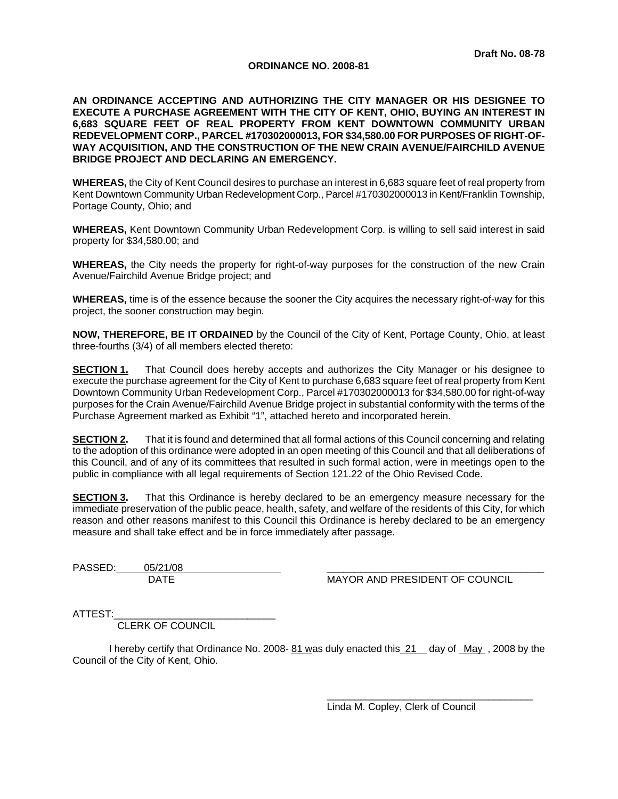### **ORDINANCE NO. 2008-81**

**AN ORDINANCE ACCEPTING AND AUTHORIZING THE CITY MANAGER OR HIS DESIGNEE TO EXECUTE A PURCHASE AGREEMENT WITH THE CITY OF KENT, OHIO, BUYING AN INTEREST IN 6,683 SQUARE FEET OF REAL PROPERTY FROM KENT DOWNTOWN COMMUNITY URBAN REDEVELOPMENT CORP., PARCEL #170302000013, FOR \$34,580.00 FOR PURPOSES OF RIGHT-OF-WAY ACQUISITION, AND THE CONSTRUCTION OF THE NEW CRAIN AVENUE/FAIRCHILD AVENUE BRIDGE PROJECT AND DECLARING AN EMERGENCY.** 

**WHEREAS,** the City of Kent Council desires to purchase an interest in 6,683 square feet of real property from Kent Downtown Community Urban Redevelopment Corp., Parcel #170302000013 in Kent/Franklin Township, Portage County, Ohio; and

**WHEREAS,** Kent Downtown Community Urban Redevelopment Corp. is willing to sell said interest in said property for \$34,580.00; and

**WHEREAS,** the City needs the property for right-of-way purposes for the construction of the new Crain Avenue/Fairchild Avenue Bridge project; and

**WHEREAS,** time is of the essence because the sooner the City acquires the necessary right-of-way for this project, the sooner construction may begin.

**NOW, THEREFORE, BE IT ORDAINED** by the Council of the City of Kent, Portage County, Ohio, at least three-fourths (3/4) of all members elected thereto:

**SECTION 1.** That Council does hereby accepts and authorizes the City Manager or his designee to execute the purchase agreement for the City of Kent to purchase 6,683 square feet of real property from Kent Downtown Community Urban Redevelopment Corp., Parcel #170302000013 for \$34,580.00 for right-of-way purposes for the Crain Avenue/Fairchild Avenue Bridge project in substantial conformity with the terms of the Purchase Agreement marked as Exhibit "1", attached hereto and incorporated herein.

**SECTION 2.** That it is found and determined that all formal actions of this Council concerning and relating to the adoption of this ordinance were adopted in an open meeting of this Council and that all deliberations of this Council, and of any of its committees that resulted in such formal action, were in meetings open to the public in compliance with all legal requirements of Section 121.22 of the Ohio Revised Code.

**SECTION 3.** That this Ordinance is hereby declared to be an emergency measure necessary for the immediate preservation of the public peace, health, safety, and welfare of the residents of this City, for which reason and other reasons manifest to this Council this Ordinance is hereby declared to be an emergency measure and shall take effect and be in force immediately after passage.

PASSED: 05/21/08

MAYOR AND PRESIDENT OF COUNCIL

ATTEST:

CLERK OF COUNCIL

I hereby certify that Ordinance No. 2008- 81 was duly enacted this 21 day of May, 2008 by the Council of the City of Kent, Ohio.

> $\overline{\phantom{a}}$  ,  $\overline{\phantom{a}}$  ,  $\overline{\phantom{a}}$  ,  $\overline{\phantom{a}}$  ,  $\overline{\phantom{a}}$  ,  $\overline{\phantom{a}}$  ,  $\overline{\phantom{a}}$  ,  $\overline{\phantom{a}}$  ,  $\overline{\phantom{a}}$  ,  $\overline{\phantom{a}}$  ,  $\overline{\phantom{a}}$  ,  $\overline{\phantom{a}}$  ,  $\overline{\phantom{a}}$  ,  $\overline{\phantom{a}}$  ,  $\overline{\phantom{a}}$  ,  $\overline{\phantom{a}}$ Linda M. Copley, Clerk of Council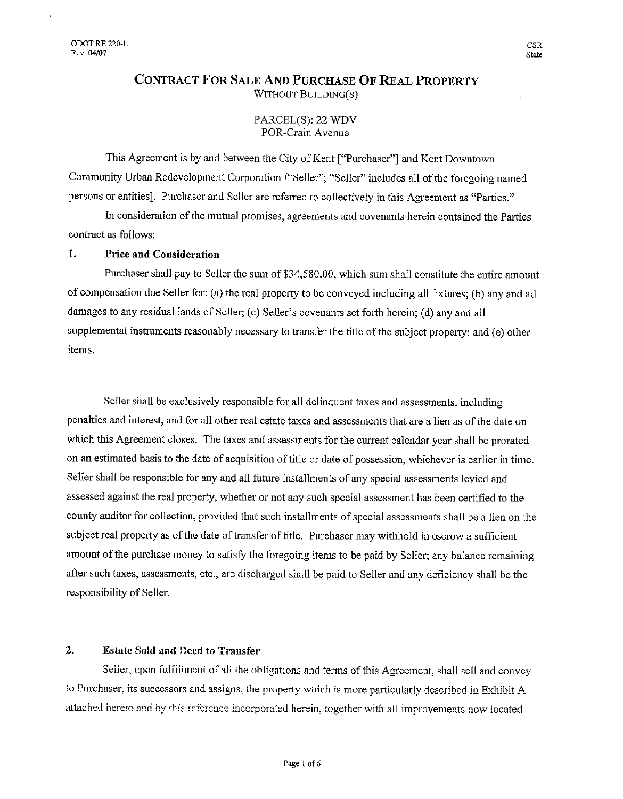## **CONTRACT FOR SALE AND PURCHASE OF REAL PROPERTY** WITHOUT BUILDING(S)

### PARCEL(S): 22 WDV POR-Crain Avenue

This Agreement is by and between the City of Kent ["Purchaser"] and Kent Downtown Community Urban Redevelopment Corporation ["Seller"; "Seller" includes all of the foregoing named persons or entities]. Purchaser and Seller are referred to collectively in this Agreement as "Parties."

In consideration of the mutual promises, agreements and covenants herein contained the Parties contract as follows:

#### 1. **Price and Consideration**

Purchaser shall pay to Seller the sum of \$34,580.00, which sum shall constitute the entire amount of compensation due Seller for: (a) the real property to be conveyed including all fixtures; (b) any and all damages to any residual lands of Seller; (c) Seller's covenants set forth herein; (d) any and all supplemental instruments reasonably necessary to transfer the title of the subject property; and (e) other items.

Seller shall be exclusively responsible for all delinquent taxes and assessments, including penalties and interest, and for all other real estate taxes and assessments that are a lien as of the date on which this Agreement closes. The taxes and assessments for the current calendar year shall be prorated on an estimated basis to the date of acquisition of title or date of possession, whichever is earlier in time. Seller shall be responsible for any and all future installments of any special assessments levied and assessed against the real property, whether or not any such special assessment has been certified to the county auditor for collection, provided that such installments of special assessments shall be a lien on the subject real property as of the date of transfer of title. Purchaser may withhold in escrow a sufficient amount of the purchase money to satisfy the foregoing items to be paid by Seller; any balance remaining after such taxes, assessments, etc., are discharged shall be paid to Seller and any deficiency shall be the responsibility of Seller.

#### $\mathbf{2}$ . **Estate Sold and Deed to Transfer**

Seller, upon fulfillment of all the obligations and terms of this Agreement, shall sell and convey to Purchaser, its successors and assigns, the property which is more particularly described in Exhibit A attached hereto and by this reference incorporated herein, together with all improvements now located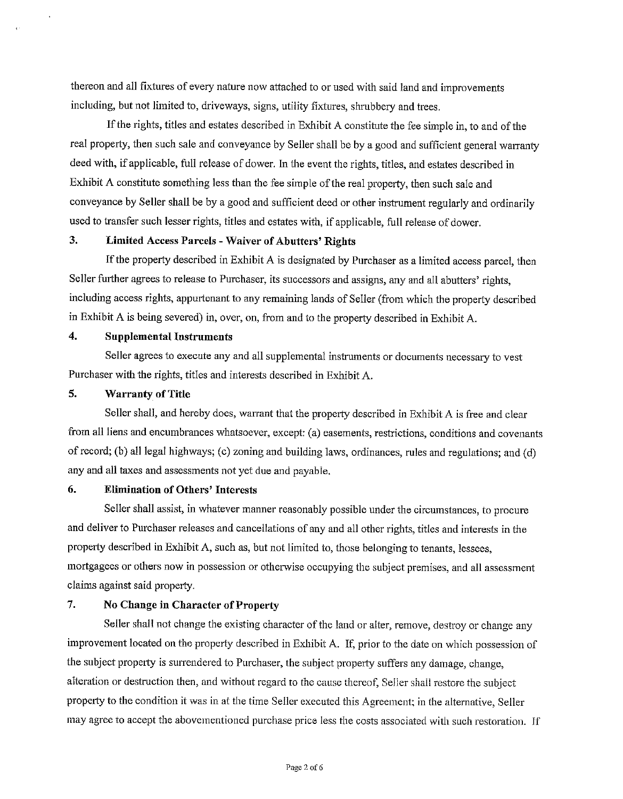thereon and all fixtures of every nature now attached to or used with said land and improvements including, but not limited to, driveways, signs, utility fixtures, shrubbery and trees.

If the rights, titles and estates described in Exhibit A constitute the fee simple in, to and of the real property, then such sale and conveyance by Seller shall be by a good and sufficient general warranty deed with, if applicable, full release of dower. In the event the rights, titles, and estates described in Exhibit A constitute something less than the fee simple of the real property, then such sale and conveyance by Seller shall be by a good and sufficient deed or other instrument regularly and ordinarily used to transfer such lesser rights, titles and estates with, if applicable, full release of dower.

#### 3. **Limited Access Parcels - Waiver of Abutters' Rights**

If the property described in Exhibit A is designated by Purchaser as a limited access parcel, then Seller further agrees to release to Purchaser, its successors and assigns, any and all abutters' rights, including access rights, appurtenant to any remaining lands of Seller (from which the property described in Exhibit A is being severed) in, over, on, from and to the property described in Exhibit A.

#### $\overline{4}$ . **Supplemental Instruments**

Seller agrees to execute any and all supplemental instruments or documents necessary to yest Purchaser with the rights, titles and interests described in Exhibit A.

#### 5. **Warranty of Title**

Seller shall, and hereby does, warrant that the property described in Exhibit A is free and clear from all liens and encumbrances whatsoever, except: (a) easements, restrictions, conditions and covenants of record; (b) all legal highways; (c) zoning and building laws, ordinances, rules and regulations; and (d) any and all taxes and assessments not yet due and payable.

#### 6. **Elimination of Others' Interests**

Seller shall assist, in whatever manner reasonably possible under the circumstances, to procure and deliver to Purchaser releases and cancellations of any and all other rights, titles and interests in the property described in Exhibit A, such as, but not limited to, those belonging to tenants, lessees, mortgagees or others now in possession or otherwise occupying the subject premises, and all assessment claims against said property.

#### $7.$ No Change in Character of Property

Seller shall not change the existing character of the land or alter, remove, destroy or change any improvement located on the property described in Exhibit A. If, prior to the date on which possession of the subject property is surrendered to Purchaser, the subject property suffers any damage, change, alteration or destruction then, and without regard to the cause thereof, Seller shall restore the subject property to the condition it was in at the time Seller executed this Agreement; in the alternative, Seller may agree to accept the abovementioned purchase price less the costs associated with such restoration. If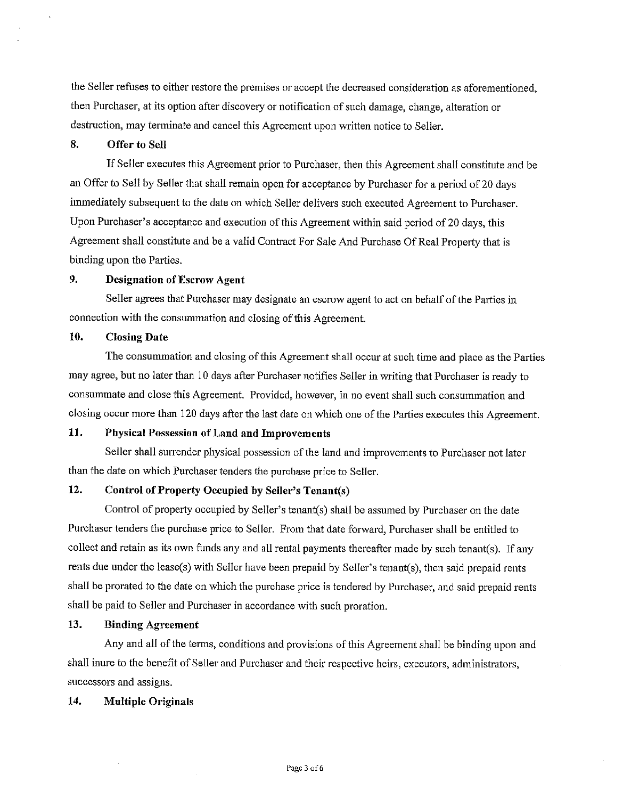the Seller refuses to either restore the premises or accept the decreased consideration as aforementioned, then Purchaser, at its option after discovery or notification of such damage, change, alteration or destruction, may terminate and cancel this Agreement upon written notice to Seller.

#### 8. Offer to Sell

If Seller executes this Agreement prior to Purchaser, then this Agreement shall constitute and be an Offer to Sell by Seller that shall remain open for acceptance by Purchaser for a period of 20 days immediately subsequent to the date on which Seller delivers such executed Agreement to Purchaser. Upon Purchaser's acceptance and execution of this Agreement within said period of 20 days, this Agreement shall constitute and be a valid Contract For Sale And Purchase Of Real Property that is binding upon the Parties.

#### $9<sub>1</sub>$ **Designation of Escrow Agent**

Seller agrees that Purchaser may designate an escrow agent to act on behalf of the Parties in connection with the consummation and closing of this Agreement.

#### 10. **Closing Date**

The consummation and closing of this Agreement shall occur at such time and place as the Parties may agree, but no later than 10 days after Purchaser notifies Seller in writing that Purchaser is ready to consummate and close this Agreement. Provided, however, in no event shall such consummation and closing occur more than 120 days after the last date on which one of the Parties executes this Agreement.

#### 11. **Physical Possession of Land and Improvements**

Seller shall surrender physical possession of the land and improvements to Purchaser not later than the date on which Purchaser tenders the purchase price to Seller.

#### 12. Control of Property Occupied by Seller's Tenant(s)

Control of property occupied by Seller's tenant(s) shall be assumed by Purchaser on the date Purchaser tenders the purchase price to Seller. From that date forward, Purchaser shall be entitled to collect and retain as its own funds any and all rental payments thereafter made by such tenant(s). If any rents due under the lease(s) with Seller have been prepaid by Seller's tenant(s), then said prepaid rents shall be prorated to the date on which the purchase price is tendered by Purchaser, and said prepaid rents shall be paid to Seller and Purchaser in accordance with such proration.

#### $13.$ **Binding Agreement**

Any and all of the terms, conditions and provisions of this Agreement shall be binding upon and shall inure to the benefit of Seller and Purchaser and their respective heirs, executors, administrators, successors and assigns.

#### 14. **Multiple Originals**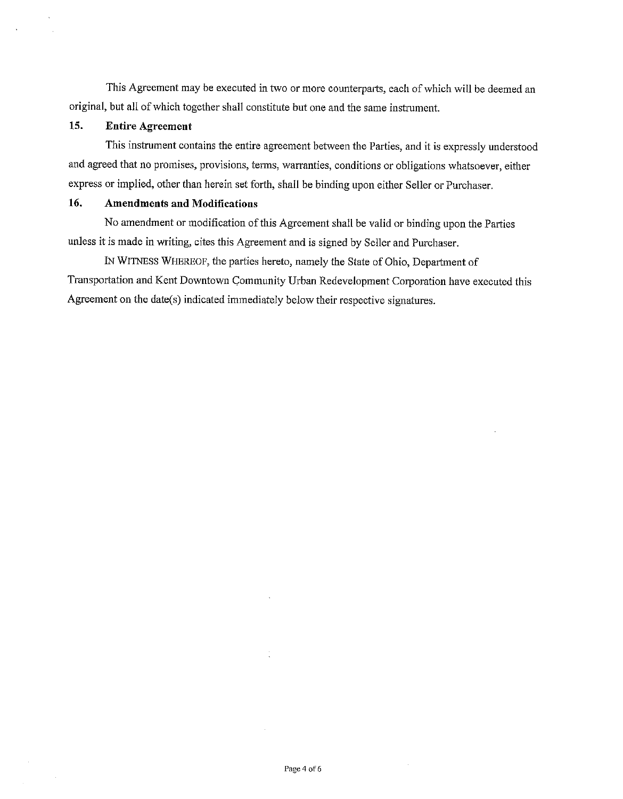This Agreement may be executed in two or more counterparts, each of which will be deemed an original, but all of which together shall constitute but one and the same instrument.

#### 15. **Entire Agreement**

This instrument contains the entire agreement between the Parties, and it is expressly understood and agreed that no promises, provisions, terms, warranties, conditions or obligations whatsoever, either express or implied, other than herein set forth, shall be binding upon either Seller or Purchaser.

#### 16. **Amendments and Modifications**

No amendment or modification of this Agreement shall be valid or binding upon the Parties unless it is made in writing, cites this Agreement and is signed by Seller and Purchaser.

IN WITNESS WHEREOF, the parties hereto, namely the State of Ohio, Department of Transportation and Kent Downtown Community Urban Redevelopment Corporation have executed this Agreement on the date(s) indicated immediately below their respective signatures.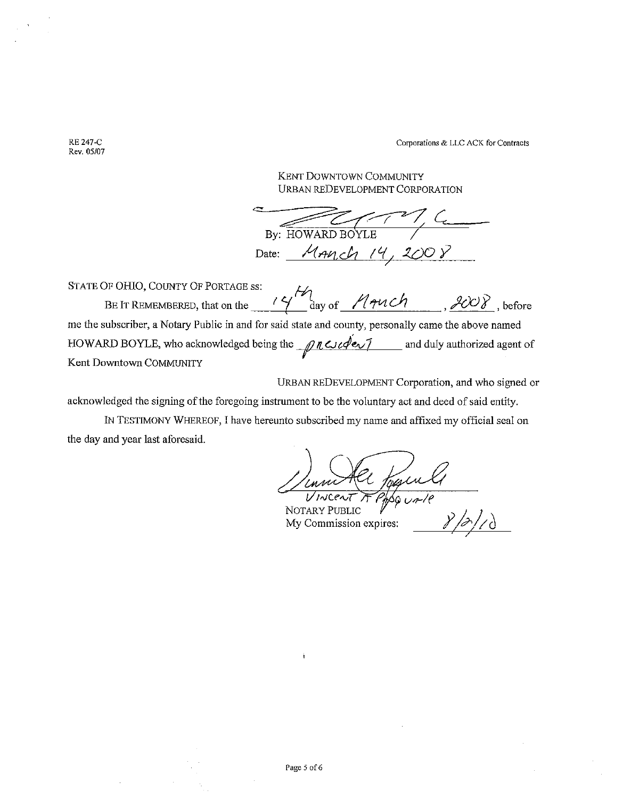Corporations & LLC ACK for Contracts

**KENT DOWNTOWN COMMUNITY URBAN REDEVELOPMENT CORPORATION** 

By: HOWARD BOYLE Date: MANCh 14, 2008

OF OHIO, COUNTY OF PORTAGE ss:<br>BE IT REMEMBERED, that on the  $\frac{14}{4}$  day of  $\frac{1440ch}{440ch}$ , 2008, before STATE OF OHIO, COUNTY OF PORTAGE SS: me the subscriber, a Notary Public in and for said state and county, personally came the above named HOWARD BOYLE, who acknowledged being the  $\sqrt{12}$   $\sqrt{2}$   $\sqrt{2}$  and duly authorized agent of Kent Downtown COMMUNITY

URBAN REDEVELOPMENT Corporation, and who signed or

acknowledged the signing of the foregoing instrument to be the voluntary act and deed of said entity.

IN TESTIMONY WHEREOF, I have hereunto subscribed my name and affixed my official seal on the day and year last aforesaid.

mm Her foguett

NOTARY PUBLIC My Commission expires:

**RE 247-C** Rev. 05/07

 $\frac{1}{3}$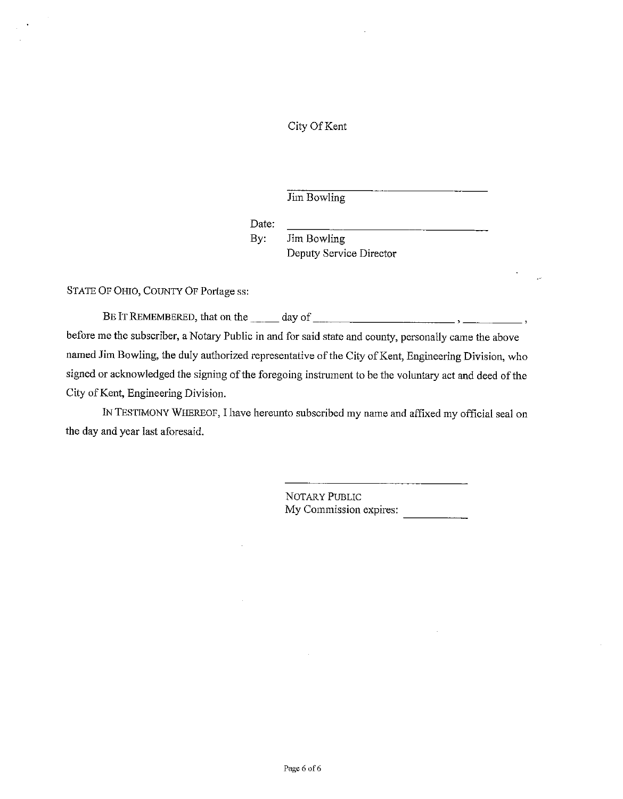## City Of Kent

Jim Bowling

Date:

By: Jim Bowling Deputy Service Director

STATE OF OHIO, COUNTY OF Portage ss:

before me the subscriber, a Notary Public in and for said state and county, personally came the above named Jim Bowling, the duly authorized representative of the City of Kent, Engineering Division, who signed or acknowledged the signing of the foregoing instrument to be the voluntary act and deed of the City of Kent, Engineering Division.

IN TESTIMONY WHEREOF, I have hereunto subscribed my name and affixed my official seal on the day and year last aforesaid.

> NOTARY PUBLIC My Commission expires: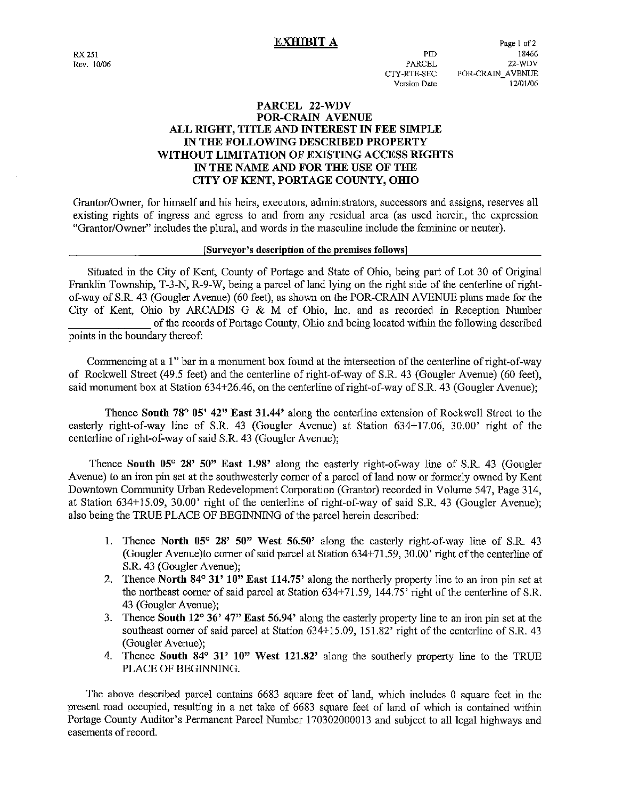## **EXHIBIT A**

 $PID$ 

**PARCEL** 

CTY-RTE-SEC

Version Date

## PARCEL 22-WDV **POR-CRAIN AVENUE** ALL RIGHT, TITLE AND INTEREST IN FEE SIMPLE IN THE FOLLOWING DESCRIBED PROPERTY WITHOUT LIMITATION OF EXISTING ACCESS RIGHTS IN THE NAME AND FOR THE USE OF THE CITY OF KENT, PORTAGE COUNTY, OHIO

Grantor/Owner, for himself and his heirs, executors, administrators, successors and assigns, reserves all existing rights of ingress and egress to and from any residual area (as used herein, the expression "Grantor/Owner" includes the plural, and words in the masculine include the feminine or neuter).

### [Surveyor's description of the premises follows]

Situated in the City of Kent, County of Portage and State of Ohio, being part of Lot 30 of Original Franklin Township, T-3-N, R-9-W, being a parcel of land lying on the right side of the centerline of rightof-way of S.R. 43 (Gougler Avenue) (60 feet), as shown on the POR-CRAIN AVENUE plans made for the City of Kent, Ohio by ARCADIS G & M of Ohio, Inc. and as recorded in Reception Number of the records of Portage County, Ohio and being located within the following described points in the boundary thereof:

Commencing at a 1" bar in a monument box found at the intersection of the centerline of right-of-way of Rockwell Street (49.5 feet) and the centerline of right-of-way of S.R. 43 (Gougler Avenue) (60 feet), said monument box at Station 634+26.46, on the centerline of right-of-way of S.R. 43 (Gougler Avenue);

Thence South 78° 05' 42" East 31.44' along the centerline extension of Rockwell Street to the easterly right-of-way line of S.R. 43 (Gougler Avenue) at Station 634+17.06, 30.00' right of the centerline of right-of-way of said S.R. 43 (Gougler Avenue);

Thence South 05° 28' 50" East 1.98' along the easterly right-of-way line of S.R. 43 (Gougler Avenue) to an iron pin set at the southwesterly corner of a parcel of land now or formerly owned by Kent Downtown Community Urban Redevelopment Corporation (Grantor) recorded in Volume 547, Page 314, at Station 634+15.09, 30.00' right of the centerline of right-of-way of said S.R. 43 (Gougler Avenue); also being the TRUE PLACE OF BEGINNING of the parcel herein described:

- 1. Thence North 05° 28' 50" West 56.50' along the easterly right-of-way line of S.R. 43 (Gougler Avenue) to corner of said parcel at Station 634+71.59, 30.00' right of the centerline of S.R. 43 (Gougler Avenue);
- 2. Thence North 84° 31' 10" East 114.75' along the northerly property line to an iron pin set at the northeast corner of said parcel at Station 634+71.59, 144.75' right of the centerline of S.R. 43 (Gougler Avenue):
- 3. Thence South 12° 36' 47" East 56.94' along the easterly property line to an iron pin set at the southeast corner of said parcel at Station 634+15.09, 151.82' right of the centerline of S.R. 43 (Gougler Avenue);
- 4. Thence South 84° 31' 10" West 121.82' along the southerly property line to the TRUE PLACE OF BEGINNING.

The above described parcel contains 6683 square feet of land, which includes 0 square feet in the present road occupied, resulting in a net take of 6683 square feet of land of which is contained within Portage County Auditor's Permanent Parcel Number 170302000013 and subject to all legal highways and easements of record.